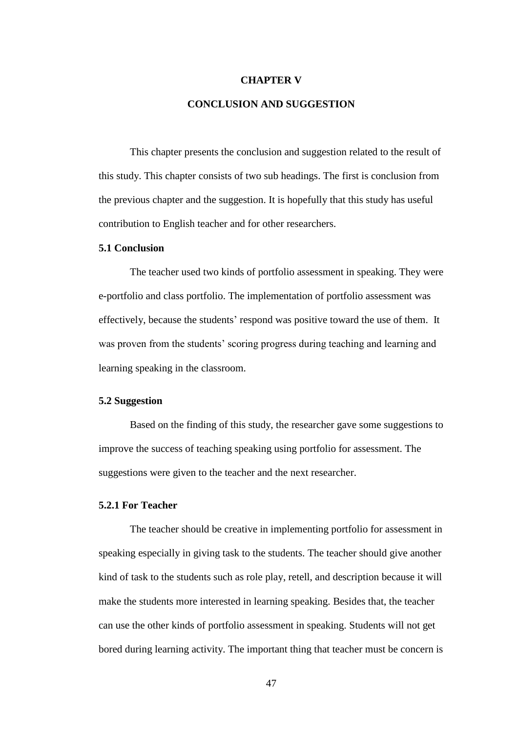#### **CHAPTER V**

## **CONCLUSION AND SUGGESTION**

This chapter presents the conclusion and suggestion related to the result of this study. This chapter consists of two sub headings. The first is conclusion from the previous chapter and the suggestion. It is hopefully that this study has useful contribution to English teacher and for other researchers.

### **5.1 Conclusion**

The teacher used two kinds of portfolio assessment in speaking. They were e-portfolio and class portfolio. The implementation of portfolio assessment was effectively, because the students' respond was positive toward the use of them. It was proven from the students' scoring progress during teaching and learning and learning speaking in the classroom.

#### **5.2 Suggestion**

Based on the finding of this study, the researcher gave some suggestions to improve the success of teaching speaking using portfolio for assessment. The suggestions were given to the teacher and the next researcher.

#### **5.2.1 For Teacher**

The teacher should be creative in implementing portfolio for assessment in speaking especially in giving task to the students. The teacher should give another kind of task to the students such as role play, retell, and description because it will make the students more interested in learning speaking. Besides that, the teacher can use the other kinds of portfolio assessment in speaking. Students will not get bored during learning activity. The important thing that teacher must be concern is

47